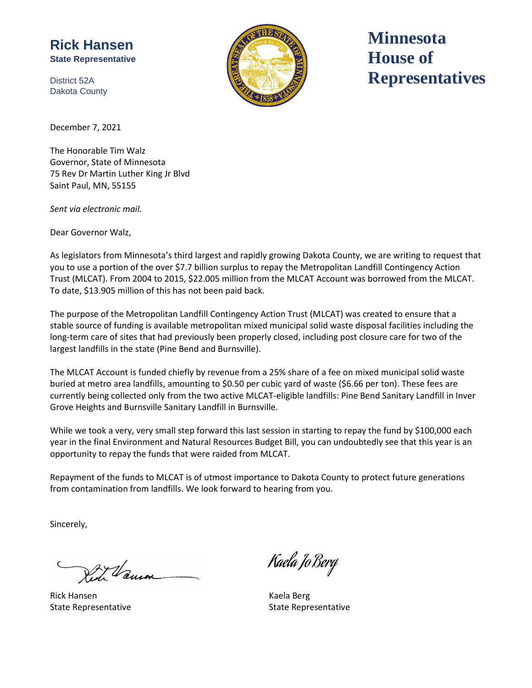## **Rick Hansen State Representative**

District 52A Dakota County



**Minnesota House of Representatives**

December 7, 2021

The Honorable Tim Walz Governor, State of Minnesota 75 Rev Dr Martin Luther King Jr Blvd Saint Paul, MN, 55155

*Sent via electronic mail.*

Dear Governor Walz,

As legislators from Minnesota's third largest and rapidly growing Dakota County, we are writing to request that you to use a portion of the over \$7.7 billion surplus to repay the Metropolitan Landfill Contingency Action Trust (MLCAT). From 2004 to 2015, \$22.005 million from the MLCAT Account was borrowed from the MLCAT. To date, \$13.905 million of this has not been paid back.

The purpose of the Metropolitan Landfill Contingency Action Trust (MLCAT) was created to ensure that a stable source of funding is available metropolitan mixed municipal solid waste disposal facilities including the long-term care of sites that had previously been properly closed, including post closure care for two of the largest landfills in the state (Pine Bend and Burnsville).

The MLCAT Account is funded chiefly by revenue from a 25% share of a fee on mixed municipal solid waste buried at metro area landfills, amounting to \$0.50 per cubic yard of waste (\$6.66 per ton). These fees are currently being collected only from the two active MLCAT-eligible landfills: Pine Bend Sanitary Landfill in Inver Grove Heights and Burnsville Sanitary Landfill in Burnsville.

While we took a very, very small step forward this last session in starting to repay the fund by \$100,000 each year in the final Environment and Natural Resources Budget Bill, you can undoubtedly see that this year is an opportunity to repay the funds that were raided from MLCAT.

Repayment of the funds to MLCAT is of utmost importance to Dakota County to protect future generations from contamination from landfills. We look forward to hearing from you.

Sincerely,

Van

Rick Hansen Kaela Berg

Kaela Jo Berg

State Representative **State Representative** State Representative